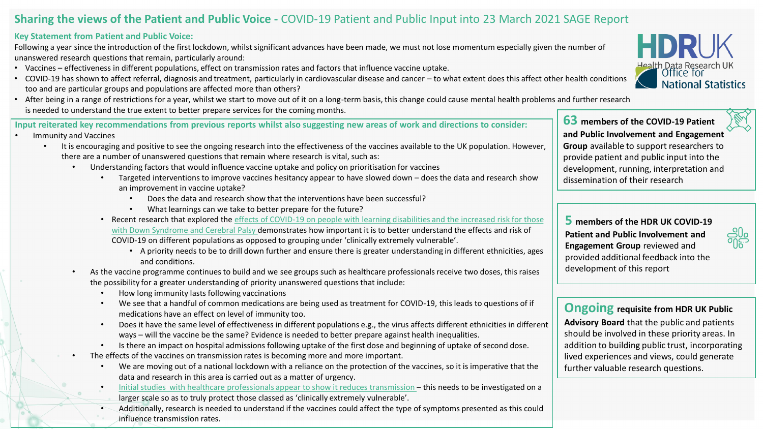## **Sharing the views of the Patient and Public Voice -** COVID-19 Patient and Public Input into 23 March 2021 SAGE Report

## **Key Statement from Patient and Public Voice:**

Following a year since the introduction of the first lockdown, whilst significant advances have been made, we must not lose momentum especially given the number of unanswered research questions that remain, particularly around:

- Vaccines effectiveness in different populations, effect on transmission rates and factors that influence vaccine uptake.
- COVID-19 has shown to affect referral, diagnosis and treatment, particularly in cardiovascular disease and cancer to what extent does this affect other health conditions too and are particular groups and populations are affected more than others?
- After being in a range of restrictions for a year, whilst we start to move out of it on a long-term basis, this change could cause mental health problems and further research is needed to understand the true extent to better prepare services for the coming months.

**Input reiterated key recommendations from previous reports whilst also suggesting new areas of work and directions to consider:**

- Immunity and Vaccines
	- It is encouraging and positive to see the ongoing research into the effectiveness of the vaccines available to the UK population. However, there are a number of unanswered questions that remain where research is vital, such as:
		- Understanding factors that would influence vaccine uptake and policy on prioritisation for vaccines
			- Targeted interventions to improve vaccines hesitancy appear to have slowed down does the data and research show an improvement in vaccine uptake?
				- Does the data and research show that the interventions have been successful?
				- What learnings can we take to better prepare for the future?
			- [Recent research that explored the effects of COVID-19 on people with learning disabilities and the increased risk for those](https://www.medrxiv.org/content/10.1101/2021.03.08.21253112v1) with Down Syndrome and Cerebral Palsy demonstrates how important it is to better understand the effects and risk of COVID-19 on different populations as opposed to grouping under 'clinically extremely vulnerable'.
				- A priority needs to be to drill down further and ensure there is greater understanding in different ethnicities, ages and conditions.
		- As the vaccine programme continues to build and we see groups such as healthcare professionals receive two doses, this raises the possibility for a greater understanding of priority unanswered questions that include:
			- How long immunity lasts following vaccinations
			- We see that a handful of common medications are being used as treatment for COVID-19, this leads to questions of if medications have an effect on level of immunity too.
			- Does it have the same level of effectiveness in different populations e.g., the virus affects different ethnicities in different ways – will the vaccine be the same? Evidence is needed to better prepare against health inequalities.
			- Is there an impact on hospital admissions following uptake of the first dose and beginning of uptake of second dose.
		- The effects of the vaccines on transmission rates is becoming more and more important.
			- We are moving out of a national lockdown with a reliance on the protection of the vaccines, so it is imperative that the data and research in this area is carried out as a matter of urgency.
			- [Initial studies with healthcare professionals appear to show it reduces transmission](https://www.medrxiv.org/content/10.1101/2021.03.11.21253275v1)  this needs to be investigated on a larger scale so as to truly protect those classed as 'clinically extremely vulnerable'.
			- Additionally, research is needed to understand if the vaccines could affect the type of symptoms presented as this could influence transmission rates.



**63 members of the COVID-19 Patient and Public Involvement and Engagement Group** available to support researchers to provide patient and public input into the development, running, interpretation and dissemination of their research

**5 members of the HDR UK COVID-19 Patient and Public Involvement and Engagement Group** reviewed and provided additional feedback into the development of this report



**Ongoing requisite from HDR UK Public Advisory Board** that the public and patients

should be involved in these priority areas. In addition to building public trust, incorporating lived experiences and views, could generate further valuable research questions.